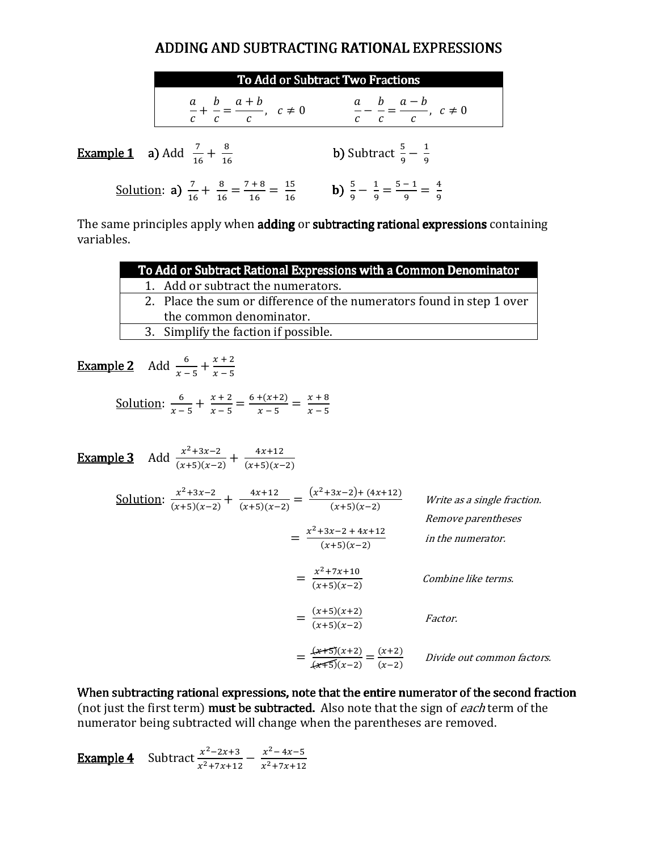### ADDING AND SUBTRACTING RATIONAL EXPRESSIONS

| To Add or Subtract Two Fractions                                                            |                                                                     |  |
|---------------------------------------------------------------------------------------------|---------------------------------------------------------------------|--|
| $\frac{a}{c} + \frac{b}{c} = \frac{a+b}{c}, \quad c \neq 0$                                 | $\frac{a}{c} - \frac{b}{c} = \frac{a-b}{c}, \ c \neq 0$             |  |
| <b>Example 1</b> a) Add $\frac{7}{16} + \frac{8}{16}$                                       | <b>b)</b> Subtract $\frac{5}{9} - \frac{1}{9}$                      |  |
| <u>Solution</u> : <b>a</b> ) $\frac{7}{16} + \frac{8}{16} = \frac{7+8}{16} = \frac{15}{16}$ | <b>b)</b> $\frac{5}{9} - \frac{1}{9} = \frac{5-1}{9} = \frac{4}{9}$ |  |

The same principles apply when adding or subtracting rational expressions containing variables.

| To Add or Subtract Rational Expressions with a Common Denominator     |  |  |
|-----------------------------------------------------------------------|--|--|
| 1. Add or subtract the numerators.                                    |  |  |
| 2. Place the sum or difference of the numerators found in step 1 over |  |  |
| the common denominator.                                               |  |  |
| 3. Simplify the faction if possible.                                  |  |  |
|                                                                       |  |  |

**Example 2** Add  $\frac{6}{x-5} + \frac{x+2}{x-5}$  $x - 5$ 

> Solution:  $\frac{6}{x-1}$  $\frac{6}{x-5} + \frac{x+2}{x-5} = \frac{6+(x+2)}{x-5}$  $\frac{+(x+2)}{x-5} = \frac{x+8}{x-5}$  $x - 5$

**Example 3** Add  $\frac{x^2+3x-2}{(x+5)(x-2)}$  $\frac{x^2+3x-2}{(x+5)(x-2)} + \frac{4x+12}{(x+5)(x-2)}$ <u>Solution</u>:  $\frac{x^2+3x-2}{(x+5)(x-3)}$  $\frac{x^2+3x-2}{(x+5)(x-2)} + \frac{4x+12}{(x+5)(x-2)} = \frac{(x^2+3x-2)+(4x+12)}{(x+5)(x-2)}$  $(x+5)(x-2)$ Write as a single fraction. Remove parentheses  $=\frac{x^2+3x-2+4x+12}{(x+5)(x-2)}$  $\frac{1}{(x+5)(x-2)}$  in the numerator.  $=$   $\frac{1}{6}$  $x^2 + 7x + 10$  $(x+5)(x-2)$  Combine like terms.  $=$   $\frac{1}{6}$  $(x+5)(x+2)$  $\frac{(x+5)(x+2)}{(x+5)(x-2)}$  Factor.  $=$  $\frac{4}{7}$  $(x+5)(x+2)$  $\frac{(x+5)(x+2)}{(x+5)(x-2)} = \frac{(x+2)}{(x-2)}$  $\frac{(x+2)}{(x-2)}$  Divide out common factors.

When subtracting rational expressions, note that the entire numerator of the second fraction (not just the first term) **must be subtracted.** Also note that the sign of *each* term of the numerator being subtracted will change when the parentheses are removed.

**Example 4** Subtract  $\frac{x^2-2x+3}{x^2+7x+1}$  $\frac{x^2-2x+3}{x^2+7x+12} - \frac{x^2-4x-5}{x^2+7x+12}$  $x^2 + 7x + 12$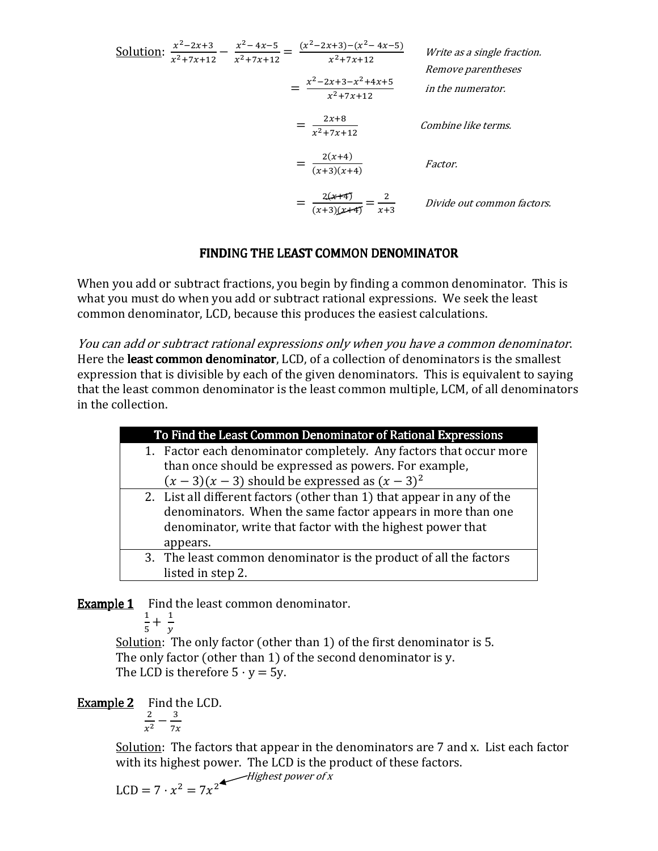Solution: 
$$
\frac{x^2 - 2x + 3}{x^2 + 7x + 12} - \frac{x^2 - 4x - 5}{x^2 + 7x + 12} = \frac{(x^2 - 2x + 3) - (x^2 - 4x - 5)}{x^2 + 7x + 12}
$$
  
\n
$$
= \frac{x^2 - 2x + 3 - x^2 + 4x + 5}{x^2 + 7x + 12}
$$
  
\n
$$
= \frac{2x + 8}{x^2 + 7x + 12}
$$
  
\n
$$
= \frac{2(x + 4)}{(x + 3)(x + 4)}
$$
  
\n
$$
= \frac{2(\cancel{x + 4})}{(x + 3)(\cancel{x + 4})}
$$
  
\n
$$
= \frac{2(\cancel{x + 4})}{x + 3}
$$
  
\n
$$
= \frac{2}{x + 3}
$$
  
\nDivide out common factors.

### FINDING THE LEAST COMMON DENOMINATOR

When you add or subtract fractions, you begin by finding a common denominator. This is what you must do when you add or subtract rational expressions. We seek the least common denominator, LCD, because this produces the easiest calculations.

You can add or subtract rational expressions only when you have a common denominator. Here the least common denominator, LCD, of a collection of denominators is the smallest expression that is divisible by each of the given denominators. This is equivalent to saying that the least common denominator is the least common multiple, LCM, of all denominators in the collection.

| To Find the Least Common Denominator of Rational Expressions |                                                                        |  |
|--------------------------------------------------------------|------------------------------------------------------------------------|--|
|                                                              | 1. Factor each denominator completely. Any factors that occur more     |  |
|                                                              | than once should be expressed as powers. For example,                  |  |
|                                                              | $(x-3)(x-3)$ should be expressed as $(x-3)^2$                          |  |
|                                                              | 2. List all different factors (other than 1) that appear in any of the |  |
|                                                              | denominators. When the same factor appears in more than one            |  |
|                                                              | denominator, write that factor with the highest power that             |  |
|                                                              | appears.                                                               |  |
|                                                              | 3. The least common denominator is the product of all the factors      |  |
|                                                              | listed in step 2.                                                      |  |

**Example 1** Find the least common denominator.

$$
\frac{1}{5} + \frac{1}{y}
$$

 $\mathcal{Y}$ Solution: The only factor (other than 1) of the first denominator is 5. The only factor (other than 1) of the second denominator is y. The LCD is therefore  $5 \cdot y = 5y$ .

Example 2 Find the LCD.

$$
\frac{2}{x^2} - \frac{3}{7x}
$$

Solution: The factors that appear in the denominators are 7 and x. List each factor with its highest power. The LCD is the product of these factors.<br> $\frac{Higher\ power\ of\ x}{\frac{F}{\sqrt{F}}}\$ 

$$
LCD = 7 \cdot x^2 = 7x^2
$$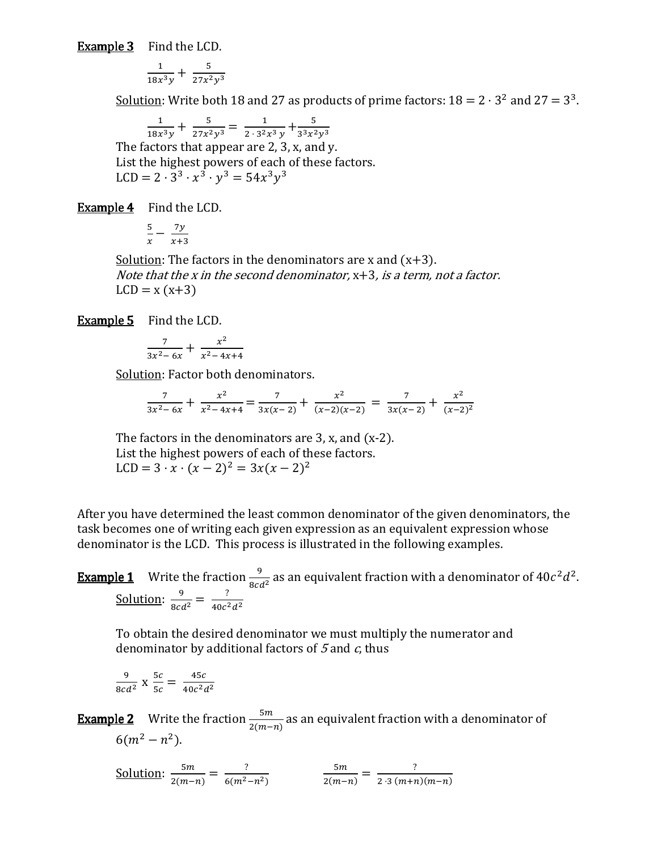**Example 3** Find the LCD.

$$
\frac{1}{18x^3y} + \frac{5}{27x^2y^3}
$$

<u>Solution</u>: Write both 18 and 27 as products of prime factors:  $18 = 2 \cdot 3^2$  and  $27 = 3^3$ .

 $\mathbf 1$  $\frac{1}{18x^3y} + \frac{5}{27x^2y^3} = \frac{1}{2 \cdot 3^2}$  $\frac{1}{2 \cdot 3^2 x^3 y} + \frac{5}{3^3 x^2 y^3}$ The factors that appear are 2, 3, x, and y. List the highest powers of each of these factors. LCD =  $2 \cdot 3^3 \cdot x^3 \cdot y^3 = 54x^3y^3$ 

Example 4 Find the LCD.

$$
\frac{5}{x} - \frac{7y}{x+3}
$$

Solution: The factors in the denominators are x and  $(x+3)$ . Note that the x in the second denominator,  $x+3$ , is a term, not a factor.  $LCD = x (x+3)$ 

**Example 5** Find the LCD.

$$
\frac{7}{3x^2-6x} + \frac{x^2}{x^2-4x+4}
$$

Solution: Factor both denominators.

$$
\frac{7}{3x^2 - 6x} + \frac{x^2}{x^2 - 4x + 4} = \frac{7}{3x(x - 2)} + \frac{x^2}{(x - 2)(x - 2)} = \frac{7}{3x(x - 2)} + \frac{x^2}{(x - 2)^2}
$$

i,

The factors in the denominators are  $3$ , x, and  $(x-2)$ . List the highest powers of each of these factors. LCD =  $3 \cdot x \cdot (x - 2)^2 = 3x(x - 2)^2$ 

After you have determined the least common denominator of the given denominators, the task becomes one of writing each given expression as an equivalent expression whose denominator is the LCD. This process is illustrated in the following examples.

**Example 1** Write the fraction  $\frac{9}{8cd^2}$  as an equivalent fraction with a denominator of  $40c^2d^2$ . <u>Solution</u>:  $\frac{9}{8cd^2} = \frac{?}{40c^2}$  $40c^2d^2$ 

To obtain the desired denominator we must multiply the numerator and denominator by additional factors of  $5$  and  $c$ , thus

$$
\frac{9}{8cd^2} \times \frac{5c}{5c} = \frac{45c}{40c^2d^2}
$$

**Example 2** Write the fraction  $\frac{5m}{2(m-n)}$  as an equivalent fraction with a denominator of  $6(m^2 - n^2)$ .

Solution: 
$$
\frac{5m}{2(m-n)} = \frac{?}{6(m^2-n^2)}
$$
  $\frac{5m}{2(m-n)} = \frac{?}{2 \cdot 3(m+n)(m-n)}$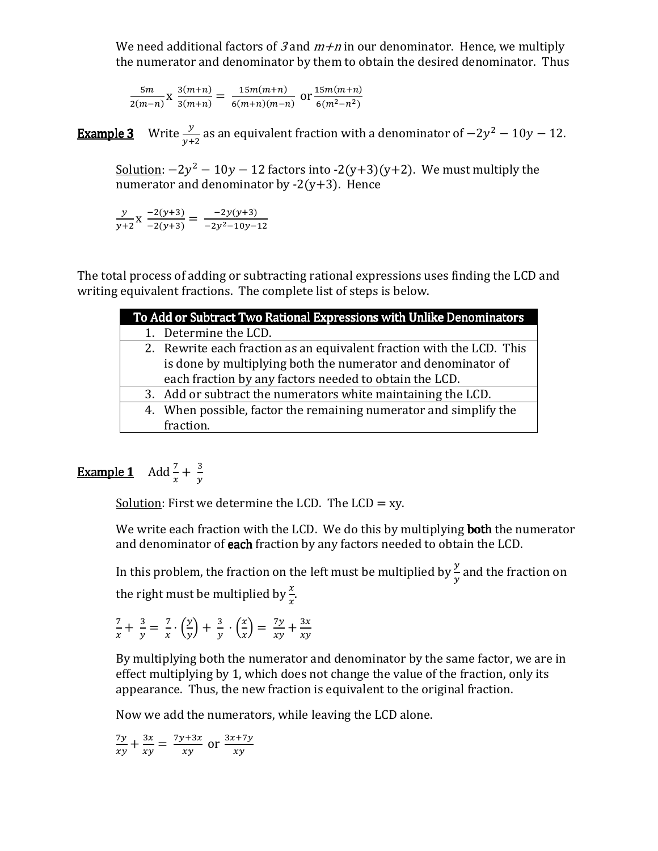We need additional factors of 3 and  $m+n$  in our denominator. Hence, we multiply the numerator and denominator by them to obtain the desired denominator. Thus

 $5m$  $\frac{5m}{2(m-n)}$  X  $\frac{3(m+n)}{3(m+n)}$  $\frac{3(m+n)}{3(m+n)} = \frac{15m(m+n)}{6(m+n)(m-n)}$  $\frac{15m(m+n)}{6(m+n)(m-n)}$  or  $\frac{15m(m+n)}{6(m^2-n^2)}$  $\frac{(m+n)}{6(m^2-n^2)}$ 

**Example 3** Write  $\frac{y}{y+2}$  as an equivalent fraction with a denominator of  $-2y^2 - 10y - 12$ .

Solution:  $-2y^2 - 10y - 12$  factors into  $-2(y+3)(y+2)$ . We must multiply the numerator and denominator by  $-2(y+3)$ . Hence

 $\mathcal{Y}$  $\frac{y}{y+2}$ x  $\frac{-2(y+3)}{-2(y+3)} = \frac{-2y(y+3)}{-2y^2-10y-}$  $\frac{2y(y+3)}{-2y^2-10y-12}$ 

The total process of adding or subtracting rational expressions uses finding the LCD and writing equivalent fractions. The complete list of steps is below.

| To Add or Subtract Two Rational Expressions with Unlike Denominators |                                                                       |  |
|----------------------------------------------------------------------|-----------------------------------------------------------------------|--|
|                                                                      | 1. Determine the LCD.                                                 |  |
|                                                                      | 2. Rewrite each fraction as an equivalent fraction with the LCD. This |  |
|                                                                      | is done by multiplying both the numerator and denominator of          |  |
|                                                                      | each fraction by any factors needed to obtain the LCD.                |  |
|                                                                      | 3. Add or subtract the numerators white maintaining the LCD.          |  |
|                                                                      | 4. When possible, factor the remaining numerator and simplify the     |  |
|                                                                      | fraction.                                                             |  |

## **Example 1** Add  $\frac{7}{x} + \frac{3}{y}$

Solution: First we determine the LCD. The LCD  $= xy$ .

We write each fraction with the LCD. We do this by multiplying **both** the numerator and denominator of **each** fraction by any factors needed to obtain the LCD.

In this problem, the fraction on the left must be multiplied by  $\frac{y}{y}$  and the fraction on the right must be multiplied by  $\frac{x}{x}$ .

&  $\frac{7}{x} + \frac{3}{y} = \frac{7}{x}$  $\frac{7}{x} \cdot \left(\frac{y}{y}\right) + \frac{3}{y} \cdot \left(\frac{x}{x}\right) = \frac{7y}{xy} + \frac{3x}{xy}$  $\frac{3x}{xy}$ 

By multiplying both the numerator and denominator by the same factor, we are in effect multiplying by 1, which does not change the value of the fraction, only its appearance. Thus, the new fraction is equivalent to the original fraction.

Now we add the numerators, while leaving the LCD alone.

 $7y$  $\frac{7y}{xy} + \frac{3x}{xy}$  $\frac{3x}{xy} = \frac{7y+3x}{xy}$  $\frac{x+3x}{xy}$  or  $\frac{3x+7y}{xy}$  $\frac{y}{xy}$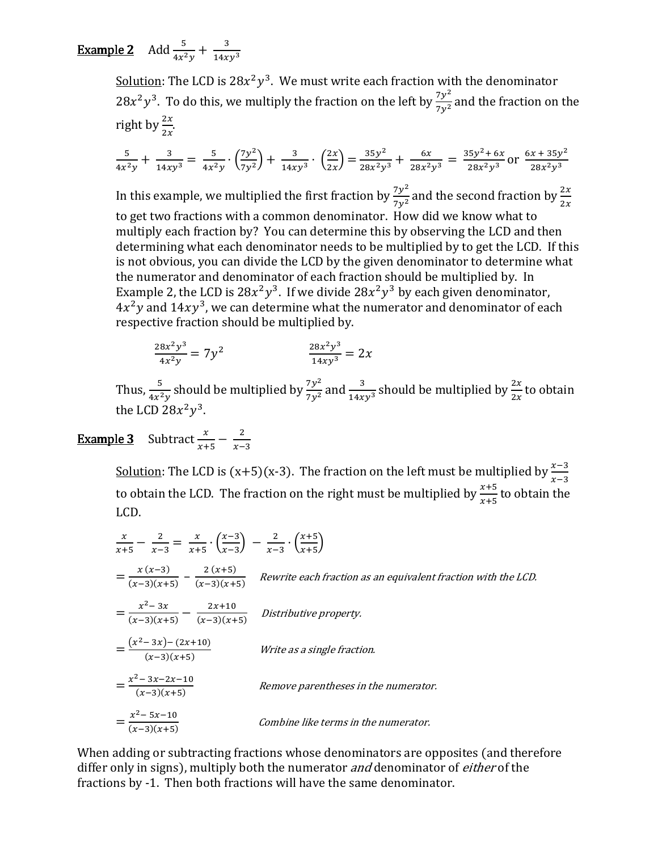**Example 2** Add  $\frac{5}{4x^2y} + \frac{3}{14xy^3}$ 

<u>Solution</u>: The LCD is 28 $x^2y^3$ . We must write each fraction with the denominator  $28x^2y^3$ . To do this, we multiply the fraction on the left by  $\frac{7y^2}{7y^2}$  and the fraction on the right by  $\frac{2x}{2x}$ .

$$
\frac{5}{4x^2y} + \frac{3}{14xy^3} = \frac{5}{4x^2y} \cdot \left(\frac{7y^2}{7y^2}\right) + \frac{3}{14xy^3} \cdot \left(\frac{2x}{2x}\right) = \frac{35y^2}{28x^2y^3} + \frac{6x}{28x^2y^3} = \frac{35y^2 + 6x}{28x^2y^3}
$$
 or  $\frac{6x + 35y^2}{28x^2y^3}$ 

In this example, we multiplied the first fraction by  $\frac{7y^2}{7y^2}$  $\frac{7y^2}{7y^2}$  and the second fraction by  $\frac{2x}{2x}$ to get two fractions with a common denominator. How did we know what to multiply each fraction by? You can determine this by observing the LCD and then determining what each denominator needs to be multiplied by to get the LCD. If this is not obvious, you can divide the LCD by the given denominator to determine what the numerator and denominator of each fraction should be multiplied by. In Example 2, the LCD is  $28x^2y^3$ . If we divide  $28x^2y^3$  by each given denominator,  $4x^2y$  and  $14xy^3$ , we can determine what the numerator and denominator of each respective fraction should be multiplied by.

$$
\frac{28x^2y^3}{4x^2y} = 7y^2 \qquad \qquad \frac{28x^2y^3}{14xy^3} = 2x
$$

Thus,  $\frac{5}{4x^2y}$  should be multiplied by  $\frac{7y^2}{7y^2}$  and  $\frac{3}{14xy^3}$  should be multiplied by  $\frac{2x}{2x}$  to obtain the LCD  $28x^2y^3$ .

#### **Example 3** Subtract  $\frac{x}{x+5} - \frac{2}{x-5}$  $x-3$

<u>Solution</u>: The LCD is  $(x+5)(x-3)$ . The fraction on the left must be multiplied by  $\frac{x-3}{x-3}$ to obtain the LCD. The fraction on the right must be multiplied by  $\frac{x+5}{x+5}$  to obtain the LCD.

$$
\frac{x}{x+5} - \frac{2}{x-3} = \frac{x}{x+5} \cdot \left(\frac{x-3}{x-3}\right) - \frac{2}{x-3} \cdot \left(\frac{x+5}{x+5}\right)
$$
\n
$$
= \frac{x(x-3)}{(x-3)(x+5)} - \frac{2(x+5)}{(x-3)(x+5)}
$$
\nRewrite each fraction as an equivalent fraction with the LCD.\n
$$
= \frac{x^2 - 3x}{(x-3)(x+5)} - \frac{2x+10}{(x-3)(x+5)}
$$
\nDistributive property.\n
$$
= \frac{(x^2 - 3x) - (2x+10)}{(x-3)(x+5)}
$$
\nWrite as a single fraction.\n
$$
= \frac{x^2 - 3x - 2x - 10}{(x-3)(x+5)}
$$
\nRemove parentheses in the numerator.\n
$$
= \frac{x^2 - 5x - 10}{(x-3)(x+5)}
$$
\nCombine like terms in the numerator.

When adding or subtracting fractions whose denominators are opposites (and therefore differ only in signs), multiply both the numerator *and* denominator of *either* of the fractions by -1. Then both fractions will have the same denominator.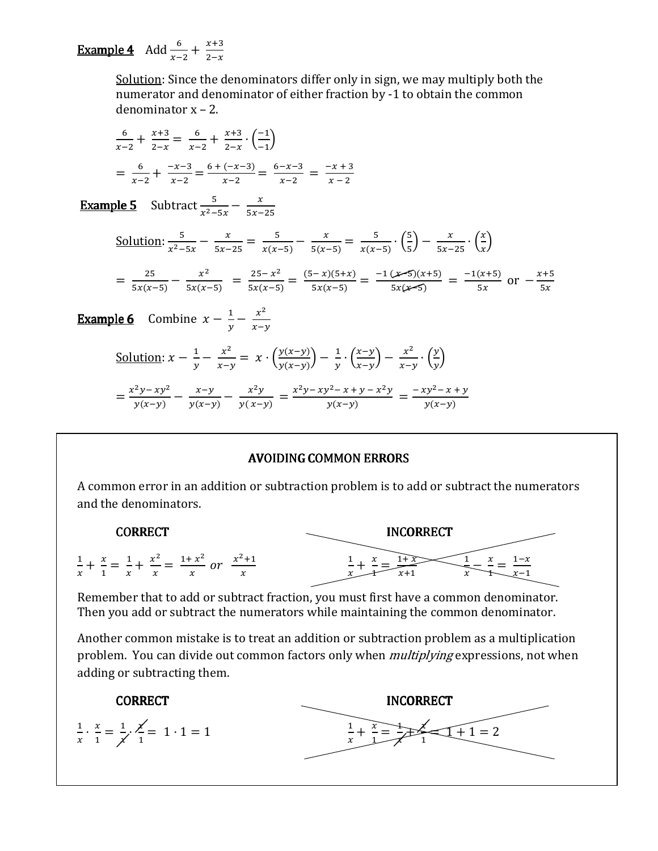# **Example 4** Add  $\frac{6}{x-2} + \frac{x+3}{2-x}$

Solution: Since the denominators differ only in sign, we may multiply both the numerator and denominator of either fraction by -1 to obtain the common denominator  $x - 2$ .

$$
\frac{6}{x-2} + \frac{x+3}{2-x} = \frac{6}{x-2} + \frac{x+3}{2-x} \cdot \left(\frac{-1}{-1}\right)
$$
  
= 
$$
\frac{6}{x-2} + \frac{-x-3}{x-2} = \frac{6+(-x-3)}{x-2} = \frac{6-x-3}{x-2} = \frac{-x+3}{x-2}
$$

**Example 5** Subtract  $\frac{5}{x^2-5x} - \frac{x}{5x-25}$ 

Solution: 
$$
\frac{5}{x^2 - 5x} - \frac{x}{5x - 25} = \frac{5}{x(x - 5)} - \frac{x}{5(x - 5)} = \frac{5}{x(x - 5)} \cdot (\frac{5}{5}) - \frac{x}{5x - 25} \cdot (\frac{x}{x})
$$

$$
= \frac{25}{5x(x-5)} - \frac{x^2}{5x(x-5)} = \frac{25-x^2}{5x(x-5)} = \frac{(5-x)(5+x)}{5x(x-5)} = \frac{-1(x+5)(x+5)}{5x(x-5)} = \frac{-1(x+5)}{5x} \text{ or } -\frac{x+5}{5x}
$$

**Example 6** Combine  $x - \frac{1}{y} - \frac{x^2}{x-y}$ 

Solution: 
$$
x - \frac{1}{y} - \frac{x^2}{x - y} = x \cdot \left(\frac{y(x - y)}{y(x - y)}\right) - \frac{1}{y} \cdot \left(\frac{x - y}{x - y}\right) - \frac{x^2}{x - y} \cdot \left(\frac{y}{y}\right)
$$
  

$$
= \frac{x^2y - xy^2}{y(x - y)} - \frac{x - y}{y(x - y)} - \frac{x^2y}{y(x - y)} = \frac{x^2y - xy^2 - x + y - x^2y}{y(x - y)} = \frac{-xy^2 - x + y}{y(x - y)}
$$

### **AVOIDING COMMON ERRORS**

A common error in an addition or subtraction problem is to add or subtract the numerators and the denominators.



Remember that to add or subtract fraction, you must first have a common denominator. Then you add or subtract the numerators while maintaining the common denominator.

Another common mistake is to treat an addition or subtraction problem as a multiplication problem. You can divide out common factors only when *multiplying* expressions, not when adding or subtracting them.

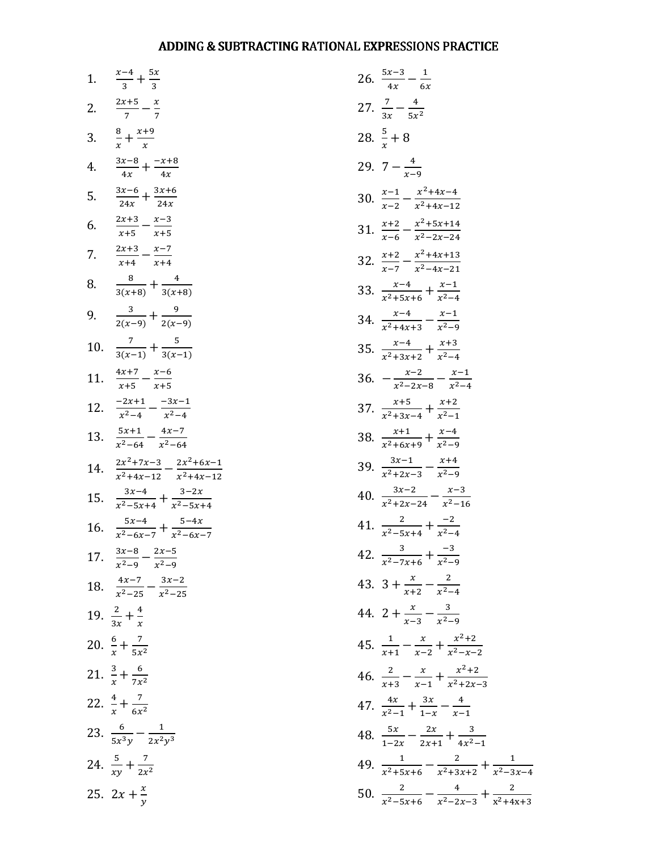### ADDING & SUBTRACTING RATIONAL EXPRESSIONS PRACTICE

| 1.  | $\frac{x-4}{3} + \frac{5x}{3}$                            |
|-----|-----------------------------------------------------------|
| 2.  | $\frac{2x+5}{7} - \frac{x}{7}$                            |
| 3.  | $\frac{8}{r} + \frac{x+9}{x}$                             |
| 4.  | $\frac{3x-8}{4x} + \frac{-x+8}{4x}$                       |
| 5.  | $\frac{3x-6}{24x} + \frac{3x+6}{24x}$                     |
| 6.  | $\frac{2x+3}{x+5} - \frac{x-3}{x+5}$                      |
| 7.  | $\frac{2x+3}{x+4} - \frac{x-7}{x+4}$<br>$x+4$             |
| 8.  | $\frac{8}{3(x+8)} + \frac{4}{3(x+8)}$                     |
| 9.  | $\frac{3}{2(x-9)} + \frac{9}{2(x-9)}$                     |
| 10. | $\frac{7}{3(x-1)} + \frac{5}{3(x-1)}$                     |
| 11. | $\frac{4x+7}{x+5} - \frac{x-6}{x+5}$                      |
| 12. | $\frac{-2x+1}{x^2-4} - \frac{-3x-1}{x^2-4}$               |
| 13. | $\frac{5x+1}{x^2-64} - \frac{4x-7}{x^2-64}$               |
| 14. | $\frac{2x^2+7x-3}{x^2+4x-12}-\frac{2x^2+6x-1}{x^2+4x-12}$ |
| 15. | $\frac{3x-4}{x^2-5x+4} + \frac{3-2x}{x^2-5x+4}$           |
| 16. | $\frac{5x-4}{x^2-6x-7} + \frac{5-4x}{x^2-6x-7}$           |
| 17. | $\frac{3x-8}{x^2-9}-\frac{2x-5}{x^2-9}$                   |
| 18. | $\frac{4x-7}{x^2-25} - \frac{3x-2}{x^2-25}$               |
|     | 19. $rac{2}{3x} + \frac{4}{x}$                            |
|     | 20. $\frac{6}{x} + \frac{7}{5x^2}$                        |
|     | 21. $\frac{3}{x} + \frac{6}{7x^2}$                        |
|     | 22. $rac{4}{x} + \frac{7}{6x^2}$                          |
|     | 23. $rac{6}{5x^3y} - \frac{1}{2x^2y^3}$                   |
|     | 24. $rac{5}{xy} + \frac{7}{2x^2}$                         |
|     | 25. $2x + \frac{x}{y}$                                    |

| 26. $\frac{5x-3}{4x} - \frac{1}{6x}$                               |
|--------------------------------------------------------------------|
| 27. $rac{7}{3x} - \frac{4}{5x^2}$                                  |
| 28. $\frac{5}{r}+8$                                                |
| 29. $7-\frac{4}{r-9}$                                              |
| 30. $\frac{x-1}{x-2} - \frac{x^2+4x-4}{x^2+4x-12}$                 |
| 31. $\frac{x+2}{x-6} - \frac{x^2+5x+14}{x^2-2x-24}$                |
| 32. $\frac{x+2}{x-7} - \frac{x^2+4x+13}{x^2-4x-21}$                |
| 33. $\frac{x-4}{x^2+5x+6} + \frac{x-1}{x^2-4}$                     |
| 34. $\frac{x-4}{x^2+4x+3} - \frac{x-1}{x^2-9}$                     |
| 35. $\frac{x-4}{x^2+3x+2} + \frac{x+3}{x^2-4}$                     |
| 36. $-\frac{x-2}{x^2-2x-8}-\frac{x-1}{x^2-4}$                      |
| 37. $\frac{x+5}{x^2+3x-4} + \frac{x+2}{x^2-1}$                     |
| 38. $\frac{x+1}{x^2+6x+9} + \frac{x-4}{x^2-9}$                     |
| 39. $\frac{3x-1}{x^2+2x-3} - \frac{x+4}{x^2-9}$                    |
| 40. $\frac{3x-2}{x^2+2x-24}-\frac{x-3}{x^2-16}$                    |
| 41. $\frac{2}{r^2-5r+4} + \frac{-2}{r^2-4}$                        |
| 42. $rac{3}{x^2-7x+6} + \frac{-3}{x^2-9}$                          |
| 43. $3 + \frac{x}{x+2} - \frac{2}{x^2-4}$                          |
| 44. 2 + $\frac{x}{x-3} - \frac{3}{x^2-9}$                          |
| 45. $rac{1}{x+1} - \frac{x}{x-2} + \frac{x^2+2}{x^2-x-2}$          |
| 46. $\frac{2}{x+3} - \frac{x}{x-1} + \frac{x^2+2}{x^2+2x-2}$       |
| 47. $\frac{4x}{x^2-1} + \frac{3x}{1-x} - \frac{4}{x-1}$            |
| 48. $rac{5x}{1-2x} - \frac{2x}{2x+1} + \frac{3}{4x^2-1}$           |
| 49. $rac{1}{x^2+5x+6} - \frac{2}{x^2+3x+2} + \frac{1}{x^2-3x-4}$   |
| 50. $\frac{2}{x^2-5x+6} - \frac{4}{x^2-2x-3} + \frac{2}{x^2+4x+3}$ |